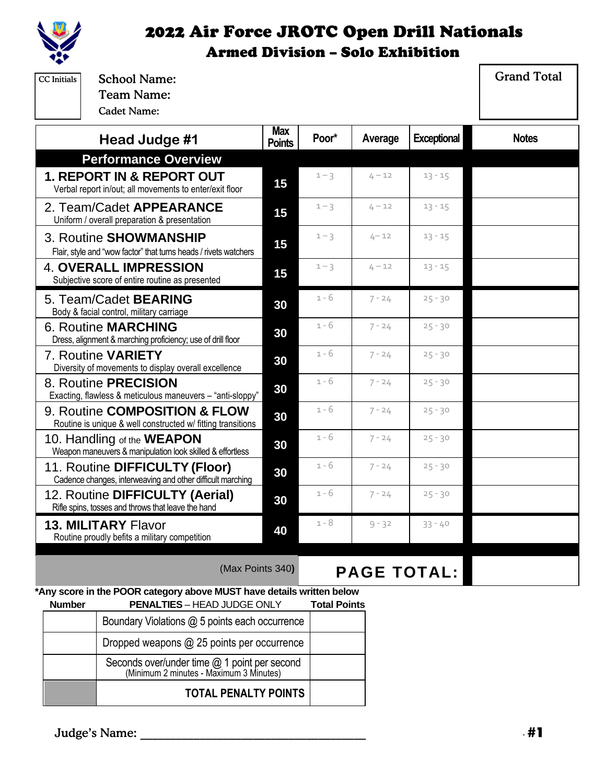

| <b>School Name:</b><br><b>CC</b> Initials<br><b>Team Name:</b><br><b>Cadet Name:</b>            |                             |                     |                    |                    | <b>Grand Total</b> |
|-------------------------------------------------------------------------------------------------|-----------------------------|---------------------|--------------------|--------------------|--------------------|
| Head Judge #1                                                                                   | <b>Max</b><br><b>Points</b> | Poor*               | Average            | <b>Exceptional</b> | <b>Notes</b>       |
| <b>Performance Overview</b>                                                                     |                             |                     |                    |                    |                    |
| <b>1. REPORT IN &amp; REPORT OUT</b><br>Verbal report in/out; all movements to enter/exit floor | 15                          | $1 - 3$             | $4 - 12$           | $13 - 15$          |                    |
| 2. Team/Cadet APPEARANCE<br>Uniform / overall preparation & presentation                        | 15                          | $1 - 3$             | $4 - 12$           | $13 - 15$          |                    |
| 3. Routine SHOWMANSHIP<br>Flair, style and "wow factor" that turns heads / rivets watchers      | 15                          | $1 - 3$             | $4 - 12$           | $13 - 15$          |                    |
| <b>4. OVERALL IMPRESSION</b><br>Subjective score of entire routine as presented                 | 15                          | $1 - 3$             | $4 - 12$           | $13 - 15$          |                    |
| 5. Team/Cadet <b>BEARING</b><br>Body & facial control, military carriage                        | 30                          | 1 - 6               | $7 - 24$           | $25 - 30$          |                    |
| <b>6. Routine MARCHING</b><br>Dress, alignment & marching proficiency; use of drill floor       | 30                          | $1 - 6$             | $7 - 24$           | $25 - 30$          |                    |
| 7. Routine VARIETY<br>Diversity of movements to display overall excellence                      | 30                          | $1 - 6$             | $7 - 24$           | $25 - 30$          |                    |
| 8. Routine <b>PRECISION</b><br>Exacting, flawless & meticulous maneuvers - "anti-sloppy"        | 30                          | 1 - 6               | $7 - 24$           | $25 - 30$          |                    |
| 9. Routine COMPOSITION & FLOW<br>Routine is unique & well constructed w/ fitting transitions    | 30                          | $1 - 6$             | $7 - 24$           | $25 - 30$          |                    |
| 10. Handling of the <b>WEAPON</b><br>Weapon maneuvers & manipulation look skilled & effortless  | 30                          | 1 - 6               | $7 - 24$           | $25 - 30$          |                    |
| 11. Routine DIFFICULTY (Floor)<br>Cadence changes, interweaving and other difficult marching    | 30                          | 1 - 6               | $7 - 24$           | $25 - 30$          |                    |
| 12. Routine DIFFICULTY (Aerial)<br>Rifle spins, tosses and throws that leave the hand           | 30                          | 1 - 6               | $7 - 24$           | $25 - 30$          |                    |
| <b>13. MILITARY Flavor</b><br>Routine proudly befits a military competition                     | 40                          | 1 - 8               | $9 - 32$           | $33 - 40$          |                    |
| (Max Points 340)                                                                                |                             |                     | <b>PAGE TOTAL:</b> |                    |                    |
| *Any score in the POOR category above MUST have details written below                           |                             |                     |                    |                    |                    |
| <b>PENALTIES - HEAD JUDGE ONLY</b><br><b>Number</b>                                             |                             | <b>Total Points</b> |                    |                    |                    |
| Boundary Violations @ 5 points each occurrence                                                  |                             |                     |                    |                    |                    |
| Dropped weapons @ 25 points per occurrence<br>Seconds over/under time @ 1 point per second      |                             |                     |                    |                    |                    |

(Minimum 2 minutes - Maximum 3 Minutes)

**TOTAL PENALTY POINTS**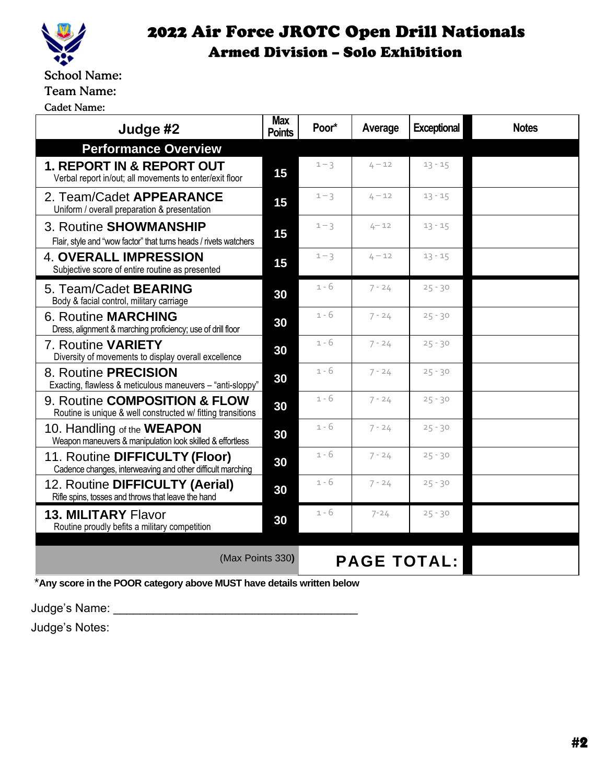

School Name:

#### Team Name:

Cadet Name:

| Judge #2                                                                                       | <b>Max</b><br><b>Points</b> | Poor*   | Average  | <b>Exceptional</b> | <b>Notes</b> |
|------------------------------------------------------------------------------------------------|-----------------------------|---------|----------|--------------------|--------------|
| <b>Performance Overview</b>                                                                    |                             |         |          |                    |              |
| 1. REPORT IN & REPORT OUT<br>Verbal report in/out; all movements to enter/exit floor           | 15                          | $1 - 3$ | $4 - 12$ | $13 - 15$          |              |
| 2. Team/Cadet APPEARANCE<br>Uniform / overall preparation & presentation                       | 15                          | $1 - 3$ | $4 - 12$ | $13 - 15$          |              |
| 3. Routine SHOWMANSHIP<br>Flair, style and "wow factor" that turns heads / rivets watchers     | 15                          | $1 - 3$ | $4 - 12$ | $13 - 15$          |              |
| <b>4. OVERALL IMPRESSION</b><br>Subjective score of entire routine as presented                | 15                          | $1 - 3$ | $4 - 12$ | $13 - 15$          |              |
| 5. Team/Cadet <b>BEARING</b><br>Body & facial control, military carriage                       | 30                          | 1 - 6   | $7 - 24$ | $25 - 30$          |              |
| <b>6. Routine MARCHING</b><br>Dress, alignment & marching proficiency; use of drill floor      | 30                          | $1 - 6$ | $7 - 24$ | $25 - 30$          |              |
| 7. Routine VARIETY<br>Diversity of movements to display overall excellence                     | 30                          | $1 - 6$ | $7 - 24$ | $25 - 30$          |              |
| 8. Routine PRECISION<br>Exacting, flawless & meticulous maneuvers - "anti-sloppy"              | 30                          | $1 - 6$ | $7 - 24$ | $25 - 30$          |              |
| 9. Routine COMPOSITION & FLOW<br>Routine is unique & well constructed w/ fitting transitions   | 30                          | $1 - 6$ | $7 - 24$ | $25 - 30$          |              |
| 10. Handling of the <b>WEAPON</b><br>Weapon maneuvers & manipulation look skilled & effortless | 30                          | 1 - 6   | $7 - 24$ | $25 - 30$          |              |
| 11. Routine DIFFICULTY (Floor)<br>Cadence changes, interweaving and other difficult marching   | 30                          | $1 - 6$ | $7 - 24$ | $25 - 30$          |              |
| 12. Routine DIFFICULTY (Aerial)<br>Rifle spins, tosses and throws that leave the hand          | 30                          | $1 - 6$ | $7 - 24$ | $25 - 30$          |              |
| <b>13. MILITARY Flavor</b><br>Routine proudly befits a military competition                    | 30                          | 1 - 6   | $7 - 24$ | $25 - 30$          |              |
| (Max Points 330)<br><b>PAGE TOTAL:</b>                                                         |                             |         |          |                    |              |
| *Any score in the POOR category above MUST have details written below                          |                             |         |          |                    |              |

Judge's Name: \_\_\_\_\_\_\_\_\_\_\_\_\_\_\_\_\_\_\_\_\_\_\_\_\_\_\_\_\_\_\_\_\_\_\_\_\_

Judge's Notes: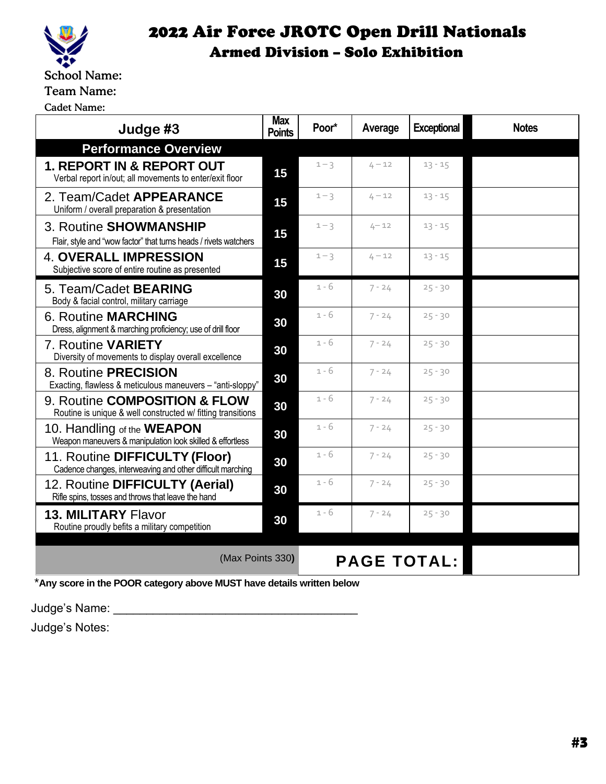

Cadet Name:

| Judge #3                                                                                        | <b>Max</b><br><b>Points</b> | Poor*              | Average  | <b>Exceptional</b> | <b>Notes</b> |  |
|-------------------------------------------------------------------------------------------------|-----------------------------|--------------------|----------|--------------------|--------------|--|
| <b>Performance Overview</b>                                                                     |                             |                    |          |                    |              |  |
| <b>1. REPORT IN &amp; REPORT OUT</b><br>Verbal report in/out; all movements to enter/exit floor | 15                          | $1 - 3$            | $4 - 12$ | $13 - 15$          |              |  |
| 2. Team/Cadet APPEARANCE<br>Uniform / overall preparation & presentation                        | 15                          | $1 - 3$            | $4 - 12$ | $13 - 15$          |              |  |
| 3. Routine SHOWMANSHIP<br>Flair, style and "wow factor" that turns heads / rivets watchers      | 15                          | $1 - 3$            | $4 - 12$ | $13 - 15$          |              |  |
| <b>4. OVERALL IMPRESSION</b><br>Subjective score of entire routine as presented                 | 15                          | $1 - 3$            | $4 - 12$ | $13 - 15$          |              |  |
| 5. Team/Cadet <b>BEARING</b><br>Body & facial control, military carriage                        | 30                          | 1 - 6              | $7 - 24$ | $25 - 30$          |              |  |
| <b>6. Routine MARCHING</b><br>Dress, alignment & marching proficiency; use of drill floor       | 30                          | $1 - 6$            | $7 - 24$ | $25 - 30$          |              |  |
| 7. Routine VARIETY<br>Diversity of movements to display overall excellence                      | 30                          | $1 - 6$            | $7 - 24$ | $25 - 30$          |              |  |
| 8. Routine PRECISION<br>Exacting, flawless & meticulous maneuvers - "anti-sloppy"               | 30                          | $1 - 6$            | $7 - 24$ | $25 - 30$          |              |  |
| 9. Routine COMPOSITION & FLOW<br>Routine is unique & well constructed w/ fitting transitions    | 30                          | $1 - 6$            | $7 - 24$ | $25 - 30$          |              |  |
| 10. Handling of the WEAPON<br>Weapon maneuvers & manipulation look skilled & effortless         | 30                          | $1 - 6$            | $7 - 24$ | $25 - 30$          |              |  |
| 11. Routine DIFFICULTY (Floor)<br>Cadence changes, interweaving and other difficult marching    | 30                          | $1 - 6$            | $7 - 24$ | $25 - 30$          |              |  |
| 12. Routine DIFFICULTY (Aerial)<br>Rifle spins, tosses and throws that leave the hand           | 30                          | $1 - 6$            | $7 - 24$ | $25 - 30$          |              |  |
| <b>13. MILITARY Flavor</b><br>Routine proudly befits a military competition                     | 30                          | $1 - 6$            | $7 - 24$ | $25 - 30$          |              |  |
| (Max Points 330)                                                                                |                             | <b>PAGE TOTAL:</b> |          |                    |              |  |
| *Any score in the POOR category above MUST have details written below                           |                             |                    |          |                    |              |  |

Judge's Name: \_\_\_\_\_\_\_\_\_\_\_\_\_\_\_\_\_\_\_\_\_\_\_\_\_\_\_\_\_\_\_\_\_\_\_\_\_

Judge's Notes: